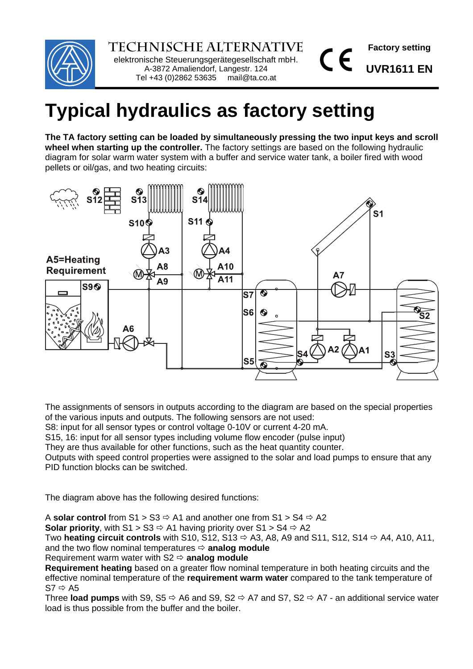

**Technische Alternative** elektronische Steuerungsgerätegesellschaft mbH. A-3872 Amaliendorf, Langestr. 124 Tel +43 (0)2862 53635 mail@ta.co.at

**Factory setting** 

**UVR1611 EN**

 $\epsilon$ 

# **Typical hydraulics as factory setting**

**The TA factory setting can be loaded by simultaneously pressing the two input keys and scroll wheel when starting up the controller.** The factory settings are based on the following hydraulic diagram for solar warm water system with a buffer and service water tank, a boiler fired with wood pellets or oil/gas, and two heating circuits:



The assignments of sensors in outputs according to the diagram are based on the special properties of the various inputs and outputs. The following sensors are not used:

S8: input for all sensor types or control voltage 0-10V or current 4-20 mA.

S15, 16: input for all sensor types including volume flow encoder (pulse input)

They are thus available for other functions, such as the heat quantity counter.

Outputs with speed control properties were assigned to the solar and load pumps to ensure that any PID function blocks can be switched.

The diagram above has the following desired functions:

A **solar control** from  $S1 > S3 \Rightarrow A1$  and another one from  $S1 > S4 \Rightarrow A2$ 

**Solar priority**, with S1 > S3  $\Rightarrow$  A1 having priority over S1 > S4  $\Rightarrow$  A2

Two **heating circuit controls** with S10, S12, S13  $\Rightarrow$  A3, A8, A9 and S11, S12, S14  $\Rightarrow$  A4, A10, A11, and the two flow nominal temperatures  $\Rightarrow$  **analog module** 

Requirement warm water with  $S2 \Leftrightarrow$  **analog module** 

**Requirement heating** based on a greater flow nominal temperature in both heating circuits and the effective nominal temperature of the **requirement warm water** compared to the tank temperature of  $S7 \Rightarrow A5$ 

Three **load pumps** with S9, S5  $\Rightarrow$  A6 and S9, S2  $\Rightarrow$  A7 and S7, S2  $\Rightarrow$  A7 - an additional service water load is thus possible from the buffer and the boiler.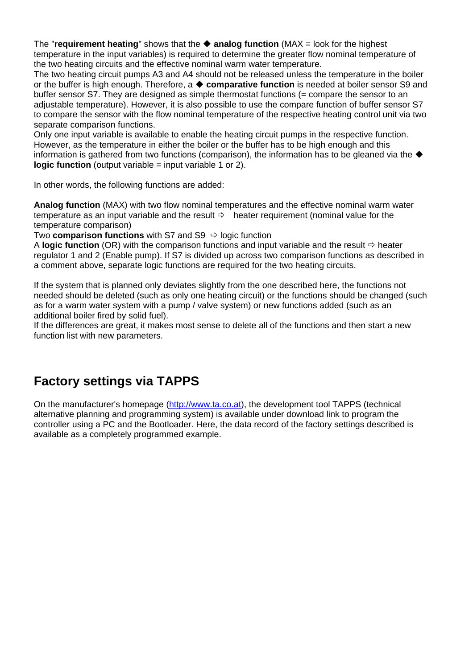The "**requirement heating**" shows that the **analog function** (MAX = look for the highest temperature in the input variables) is required to determine the greater flow nominal temperature of the two heating circuits and the effective nominal warm water temperature.

The two heating circuit pumps A3 and A4 should not be released unless the temperature in the boiler or the buffer is high enough. Therefore, a **comparative function** is needed at boiler sensor S9 and buffer sensor S7. They are designed as simple thermostat functions (= compare the sensor to an adjustable temperature). However, it is also possible to use the compare function of buffer sensor S7 to compare the sensor with the flow nominal temperature of the respective heating control unit via two separate comparison functions.

Only one input variable is available to enable the heating circuit pumps in the respective function. However, as the temperature in either the boiler or the buffer has to be high enough and this information is gathered from two functions (comparison), the information has to be gleaned via the  $\blacklozenge$ **logic function** (output variable = input variable 1 or 2).

In other words, the following functions are added:

**Analog function** (MAX) with two flow nominal temperatures and the effective nominal warm water temperature as an input variable and the result  $\Leftrightarrow$  heater requirement (nominal value for the temperature comparison)

Two **comparison functions** with S7 and S9  $\Rightarrow$  logic function

A **logic function** (OR) with the comparison functions and input variable and the result  $\Rightarrow$  heater regulator 1 and 2 (Enable pump). If S7 is divided up across two comparison functions as described in a comment above, separate logic functions are required for the two heating circuits.

If the system that is planned only deviates slightly from the one described here, the functions not needed should be deleted (such as only one heating circuit) or the functions should be changed (such as for a warm water system with a pump / valve system) or new functions added (such as an additional boiler fired by solid fuel).

If the differences are great, it makes most sense to delete all of the functions and then start a new function list with new parameters.

# **Factory settings via TAPPS**

On the manufacturer's homepage (http://www.ta.co.at), the development tool TAPPS (technical alternative planning and programming system) is available under download link to program the controller using a PC and the Bootloader. Here, the data record of the factory settings described is available as a completely programmed example.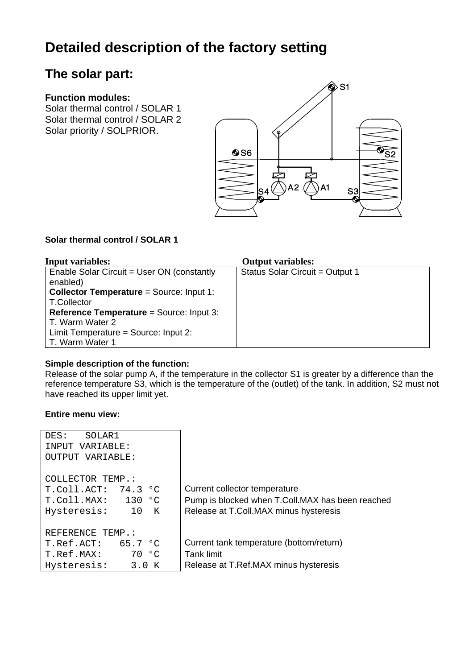# **Detailed description of the factory setting**

# **The solar part:**

#### **Function modules:**

Solar thermal control / SOLAR 1 Solar thermal control / SOLAR 2 Solar priority / SOLPRIOR.



#### **Solar thermal control / SOLAR 1**

| <b>Input variables:</b>                                | <b>Output variables:</b>        |
|--------------------------------------------------------|---------------------------------|
| Enable Solar Circuit = User ON (constantly<br>enabled) | Status Solar Circuit = Output 1 |
| <b>Collector Temperature = Source: Input 1:</b>        |                                 |
| T.Collector                                            |                                 |
| <b>Reference Temperature = Source: Input 3:</b>        |                                 |
| T. Warm Water 2                                        |                                 |
| Limit Temperature = Source: Input 2:                   |                                 |
| T. Warm Water 1                                        |                                 |

#### **Simple description of the function:**

Release of the solar pump A, if the temperature in the collector S1 is greater by a difference than the reference temperature S3, which is the temperature of the (outlet) of the tank. In addition, S2 must not have reached its upper limit yet.

| SOLAR1<br>DES:<br>INPUT VARIABLE:<br>OUTPUT VARIABLE:                                       |                                                                                                                             |
|---------------------------------------------------------------------------------------------|-----------------------------------------------------------------------------------------------------------------------------|
| COLLECTOR TEMP.:<br>$T. Coll. ACT: 74.3$ °C<br>$T.$ Coll.MAX: 130 °C<br>10 K<br>Hysteresis: | Current collector temperature<br>Pump is blocked when T.Coll.MAX has been reached<br>Release at T.Coll.MAX minus hysteresis |
| REFERENCE TEMP.:<br>T. Ref. ACT: 65.7 °C<br>70 °C<br>T.Ref.MAX:<br>3.0 K<br>Hysteresis:     | Current tank temperature (bottom/return)<br><b>Tank limit</b><br>Release at T.Ref.MAX minus hysteresis                      |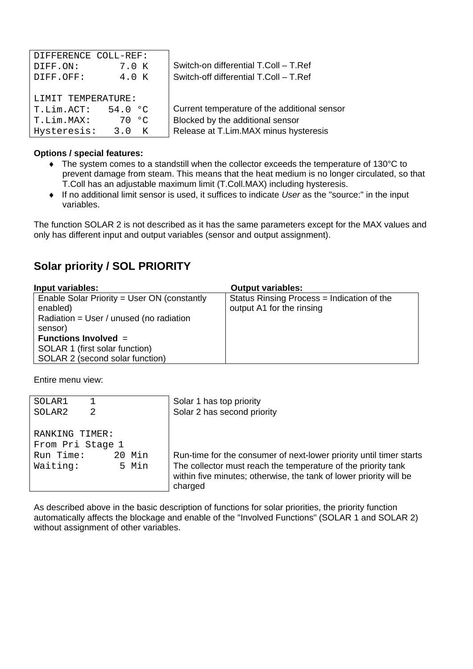| DIFFERENCE COLL-REF:     |                                              |
|--------------------------|----------------------------------------------|
| 7.0 K<br>DIFF.ON:        | Switch-on differential T.Coll - T.Ref        |
| 4.0 K<br>DIFF.OFF:       | Switch-off differential T.Coll - T.Ref       |
|                          |                                              |
| LIMIT TEMPERATURE:       |                                              |
| T.Lim.ACT:<br>54.0<br>൦ഺ | Current temperature of the additional sensor |
| T.Lim.MAX:<br>ം<br>70    | Blocked by the additional sensor             |
| Hysteresis:<br>3. O<br>K | Release at T.Lim.MAX minus hysteresis        |

#### **Options / special features:**

- ◆ The system comes to a standstill when the collector exceeds the temperature of 130°C to prevent damage from steam. This means that the heat medium is no longer circulated, so that T.Coll has an adjustable maximum limit (T.Coll.MAX) including hysteresis.
- If no additional limit sensor is used, it suffices to indicate *User* as the "source:" in the input variables.

The function SOLAR 2 is not described as it has the same parameters except for the MAX values and only has different input and output variables (sensor and output assignment).

### **Solar priority / SOL PRIORITY**

| Input variables:                            | <b>Output variables:</b>                   |
|---------------------------------------------|--------------------------------------------|
| Enable Solar Priority = User ON (constantly | Status Rinsing Process = Indication of the |
| enabled)                                    | output A1 for the rinsing                  |
| Radiation = User / unused (no radiation     |                                            |
| sensor)                                     |                                            |
| <b>Functions Involved <math>=</math></b>    |                                            |
| SOLAR 1 (first solar function)              |                                            |
| SOLAR 2 (second solar function)             |                                            |

Entire menu view:

| SOLAR1           |        | Solar 1 has top priority                                                                                                                       |
|------------------|--------|------------------------------------------------------------------------------------------------------------------------------------------------|
| SOLAR2<br>2      |        | Solar 2 has second priority                                                                                                                    |
|                  |        |                                                                                                                                                |
| RANKING TIMER:   |        |                                                                                                                                                |
| From Pri Stage 1 |        |                                                                                                                                                |
| Run Time:        | 20 Min | Run-time for the consumer of next-lower priority until timer starts                                                                            |
| Waiting:         | 5 Min  | The collector must reach the temperature of the priority tank<br>within five minutes; otherwise, the tank of lower priority will be<br>charged |
|                  |        |                                                                                                                                                |

As described above in the basic description of functions for solar priorities, the priority function automatically affects the blockage and enable of the "Involved Functions" (SOLAR 1 and SOLAR 2) without assignment of other variables.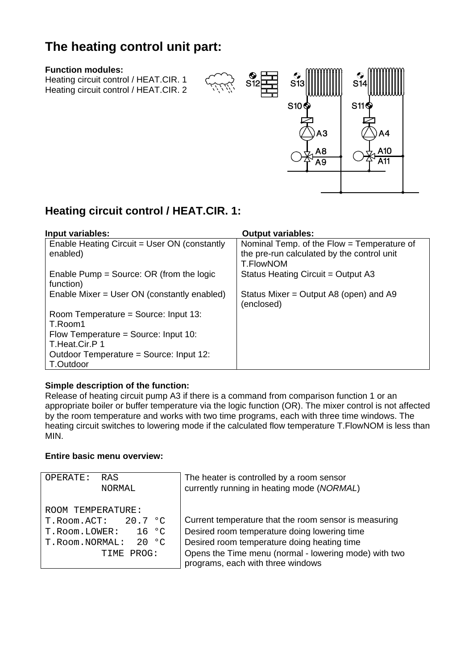# **The heating control unit part:**

#### **Function modules:**

Heating circuit control / HEAT.CIR. 1 Heating circuit control / HEAT.CIR. 2



### **Heating circuit control / HEAT.CIR. 1:**

| Input variables:                                         | <b>Output variables:</b>                                                                              |
|----------------------------------------------------------|-------------------------------------------------------------------------------------------------------|
| Enable Heating Circuit = User ON (constantly<br>enabled) | Nominal Temp. of the Flow = Temperature of<br>the pre-run calculated by the control unit<br>T.FlowNOM |
| Enable Pump = Source: OR (from the logic<br>function)    | Status Heating Circuit = Output A3                                                                    |
| Enable Mixer = User ON (constantly enabled)              | Status Mixer = Output A8 (open) and A9<br>(enclosed)                                                  |
| Room Temperature = Source: Input 13:<br>T.Room1          |                                                                                                       |
| Flow Temperature = Source: Input 10:<br>T.Heat.Cir.P 1   |                                                                                                       |
| Outdoor Temperature = Source: Input 12:<br>T.Outdoor     |                                                                                                       |

#### **Simple description of the function:**

Release of heating circuit pump A3 if there is a command from comparison function 1 or an appropriate boiler or buffer temperature via the logic function (OR). The mixer control is not affected by the room temperature and works with two time programs, each with three time windows. The heating circuit switches to lowering mode if the calculated flow temperature T.FlowNOM is less than MIN.

#### **Entire basic menu overview:**

| OPERATE:<br>RAS<br>NORMAL                                                                                                  | The heater is controlled by a room sensor<br>currently running in heating mode (NORMAL)                                                                                                                       |
|----------------------------------------------------------------------------------------------------------------------------|---------------------------------------------------------------------------------------------------------------------------------------------------------------------------------------------------------------|
| ROOM TEMPERATURE:<br>20.7 °C<br>T.Room.ACT:<br>$16 \degree C$<br>T.Room.LOWER:<br>20 °C<br>T.Room.NORMAL:<br>PROG:<br>TIME | Current temperature that the room sensor is measuring<br>Desired room temperature doing lowering time<br>Desired room temperature doing heating time<br>Opens the Time menu (normal - lowering mode) with two |
|                                                                                                                            | programs, each with three windows                                                                                                                                                                             |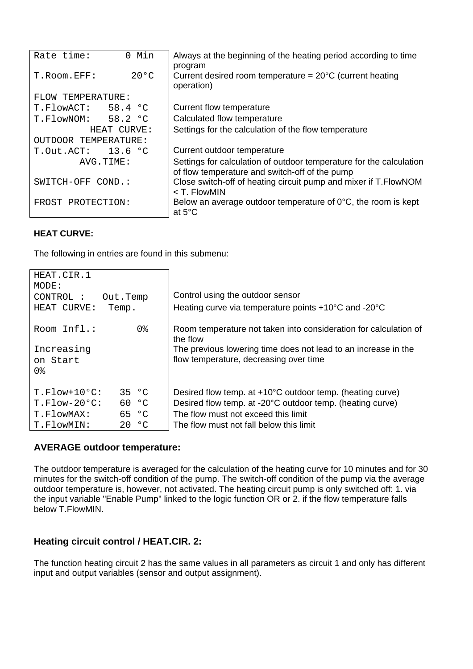| 0 Min<br>Rate time:   |                | Always at the beginning of the heating period according to time<br>program                                            |
|-----------------------|----------------|-----------------------------------------------------------------------------------------------------------------------|
| T.Room.EFF:           | $20^{\circ}$ C | Current desired room temperature = $20^{\circ}$ C (current heating<br>operation)                                      |
| FLOW TEMPERATURE:     |                |                                                                                                                       |
| 58.4 °C<br>T.FlowACT: |                | Current flow temperature                                                                                              |
| T.FlowNOM: 58.2 °C    |                | Calculated flow temperature                                                                                           |
| HEAT CURVE:           |                | Settings for the calculation of the flow temperature                                                                  |
| OUTDOOR TEMPERATURE:  |                |                                                                                                                       |
| 13.6 °C<br>T.Out.ACT: |                | Current outdoor temperature                                                                                           |
| AVG.TIME:             |                | Settings for calculation of outdoor temperature for the calculation<br>of flow temperature and switch-off of the pump |
| SWITCH-OFF COND.:     |                | Close switch-off of heating circuit pump and mixer if T. FlowNOM<br>< T. FlowMIN                                      |
| FROST PROTECTION:     |                | Below an average outdoor temperature of $0^{\circ}$ C, the room is kept<br>at $5^{\circ}$ C                           |

#### **HEAT CURVE:**

The following in entries are found in this submenu:

| HEAT.CIR.1<br>MODE:<br>CONTROL:<br>Out.Temp<br>HEAT CURVE:<br>Temp. | Control using the outdoor sensor<br>Heating curve via temperature points +10°C and -20°C                 |
|---------------------------------------------------------------------|----------------------------------------------------------------------------------------------------------|
| 0%<br>Room Infl.:                                                   | Room temperature not taken into consideration for calculation of<br>the flow                             |
| Increasing<br>on Start<br>0%                                        | The previous lowering time does not lead to an increase in the<br>flow temperature, decreasing over time |
| $T.Flow+10°C$ :<br>35 °C                                            | Desired flow temp. at +10°C outdoor temp. (heating curve)                                                |
| 60 °C<br>$T.Flow-20°C$ :                                            | Desired flow temp. at -20°C outdoor temp. (heating curve)                                                |
| 65 °C<br>T.FlowMAX:                                                 | The flow must not exceed this limit                                                                      |
| 20 °C<br>T.FlowMIN:                                                 | The flow must not fall below this limit                                                                  |

#### **AVERAGE outdoor temperature:**

The outdoor temperature is averaged for the calculation of the heating curve for 10 minutes and for 30 minutes for the switch-off condition of the pump. The switch-off condition of the pump via the average outdoor temperature is, however, not activated. The heating circuit pump is only switched off: 1. via the input variable "Enable Pump" linked to the logic function OR or 2. if the flow temperature falls below T.FlowMIN.

#### **Heating circuit control / HEAT.CIR. 2:**

The function heating circuit 2 has the same values in all parameters as circuit 1 and only has different input and output variables (sensor and output assignment).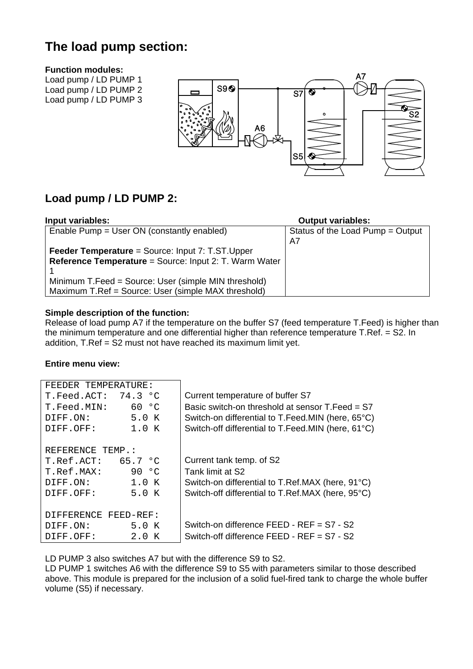# **The load pump section:**

#### **Function modules:**

Load pump / LD PUMP 1 Load pump / LD PUMP 2 Load pump / LD PUMP 3



### **Load pump / LD PUMP 2:**

| Input variables:                                        | <b>Output variables:</b>         |
|---------------------------------------------------------|----------------------------------|
| Enable Pump = User ON (constantly enabled)              | Status of the Load Pump = Output |
|                                                         | A7                               |
| <b>Feeder Temperature</b> = Source: Input 7: T.ST.Upper |                                  |
| Reference Temperature = Source: Input 2: T. Warm Water  |                                  |
|                                                         |                                  |
| Minimum T.Feed = Source: User (simple MIN threshold)    |                                  |
| Maximum T.Ref = Source: User (simple MAX threshold)     |                                  |

#### **Simple description of the function:**

Release of load pump A7 if the temperature on the buffer S7 (feed temperature T.Feed) is higher than the minimum temperature and one differential higher than reference temperature T.Ref. = S2. In addition, T.Ref = S2 must not have reached its maximum limit yet.

#### **Entire menu view:**

| FEEDER TEMPERATURE:  |         |                                                    |
|----------------------|---------|----------------------------------------------------|
| T.Feed.ACT: 74.3°C   |         | Current temperature of buffer S7                   |
| T.Feed.MIN:          | 60 °C   | Basic switch-on threshold at sensor $T$ Feed = S7  |
| DIFF.ON:             | 5.0 K   | Switch-on differential to T.Feed.MIN (here, 65°C)  |
| DIFF.OFF:            | 1.0 K   | Switch-off differential to T.Feed.MIN (here, 61°C) |
|                      |         |                                                    |
| REFERENCE TEMP.:     |         |                                                    |
| T.Ref.ACT:           | 65.7 °C | Current tank temp. of S2                           |
| T.Ref.MAX:           | 90 °C   | Tank limit at S2                                   |
| DIFF.ON:             | 1.0 K   | Switch-on differential to T.Ref.MAX (here, 91°C)   |
| DIFF.OFF:            | 5.0 K   | Switch-off differential to T.Ref.MAX (here, 95°C)  |
|                      |         |                                                    |
| DIFFERENCE FEED-REF: |         |                                                    |
| DIFF.ON:             | 5.0 K   | Switch-on difference FEED - REF = S7 - S2          |
| DIFF.OFF:            | 2.0 K   | Switch-off difference FEED - REF = S7 - S2         |

LD PUMP 3 also switches A7 but with the difference S9 to S2.

LD PUMP 1 switches A6 with the difference S9 to S5 with parameters similar to those described above. This module is prepared for the inclusion of a solid fuel-fired tank to charge the whole buffer volume (S5) if necessary.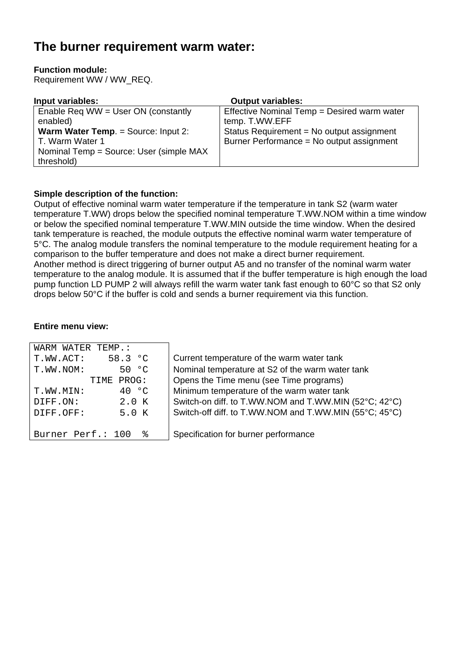# **The burner requirement warm water:**

#### **Function module:**

Requirement WW / WW\_REQ.

| Input variables:                           | <b>Output variables:</b>                    |
|--------------------------------------------|---------------------------------------------|
| Enable Req WW = User ON (constantly        | Effective Nominal Temp = Desired warm water |
| enabled)                                   | temp. T.WW.EFF                              |
| <b>Warm Water Temp. = Source: Input 2:</b> | Status Requirement = No output assignment   |
| T. Warm Water 1                            | Burner Performance = No output assignment   |
| Nominal Temp = Source: User (simple MAX)   |                                             |
| threshold)                                 |                                             |

#### **Simple description of the function:**

Output of effective nominal warm water temperature if the temperature in tank S2 (warm water temperature T.WW) drops below the specified nominal temperature T.WW.NOM within a time window or below the specified nominal temperature T.WW.MIN outside the time window. When the desired tank temperature is reached, the module outputs the effective nominal warm water temperature of 5°C. The analog module transfers the nominal temperature to the module requirement heating for a comparison to the buffer temperature and does not make a direct burner requirement. Another method is direct triggering of burner output A5 and no transfer of the nominal warm water temperature to the analog module. It is assumed that if the buffer temperature is high enough the load pump function LD PUMP 2 will always refill the warm water tank fast enough to 60°C so that S2 only drops below 50°C if the buffer is cold and sends a burner requirement via this function.

| WARM WATER TEMP.:      |                                                        |
|------------------------|--------------------------------------------------------|
| 58.3 °C<br>T.WW.ACT:   | Current temperature of the warm water tank             |
| 50 °C<br>T.WW.NOM:     | Nominal temperature at S2 of the warm water tank       |
| PROG:<br>TIME          | Opens the Time menu (see Time programs)                |
| 40 °C<br>T.WW.MIN:     | Minimum temperature of the warm water tank             |
| 2.0 K<br>DIFF.ON:      | Switch-on diff. to T.WW.NOM and T.WW.MIN (52°C; 42°C)  |
| 5.0 K<br>DIFF.OFF:     | Switch-off diff. to T.WW.NOM and T.WW.MIN (55°C; 45°C) |
|                        |                                                        |
| Burner Perf.: 100<br>ႜ | Specification for burner performance                   |
|                        |                                                        |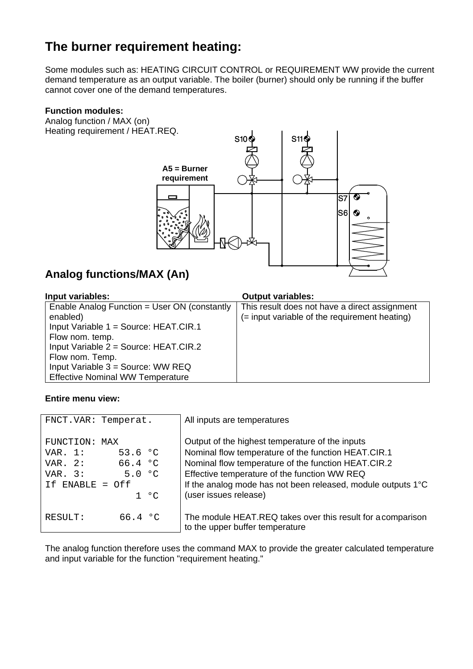# **The burner requirement heating:**

Some modules such as: HEATING CIRCUIT CONTROL or REQUIREMENT WW provide the current demand temperature as an output variable. The boiler (burner) should only be running if the buffer cannot cover one of the demand temperatures.

#### **Function modules:**

Analog function / MAX (on) Heating requirement / HEAT.REQ.



### **Analog functions/MAX (An)**

| Input variables:                             | <b>Output variables:</b>                      |
|----------------------------------------------|-----------------------------------------------|
| Enable Analog Function = User ON (constantly | This result does not have a direct assignment |
| enabled)                                     | (= input variable of the requirement heating) |
| Input Variable 1 = Source: HEAT.CIR.1        |                                               |
| Flow nom. temp.                              |                                               |
| Input Variable $2 = Source$ : HEAT.CIR.2     |                                               |
| Flow nom. Temp.                              |                                               |
| Input Variable $3 =$ Source: WW REQ          |                                               |
| <b>Effective Nominal WW Temperature</b>      |                                               |

#### **Entire menu view:**

| FNCT.VAR: Temperat.                                                                                                       | All inputs are temperatures                                                                                                                                                                                                                                                                            |
|---------------------------------------------------------------------------------------------------------------------------|--------------------------------------------------------------------------------------------------------------------------------------------------------------------------------------------------------------------------------------------------------------------------------------------------------|
| FUNCTION: MAX<br>53.6 $^{\circ}$ C<br>VAR. $1:$<br>66.4 °C<br>VAR. $2:$<br>5.0 °C<br>VAR. $3:$<br>If ENABLE = Off<br>1 °C | Output of the highest temperature of the inputs<br>Nominal flow temperature of the function HEAT.CIR.1<br>Nominal flow temperature of the function HEAT.CIR.2<br>Effective temperature of the function WW REQ<br>If the analog mode has not been released, module outputs 1°C<br>(user issues release) |
| 66.4 °C<br>RESULT:                                                                                                        | The module HEAT.REQ takes over this result for a comparison<br>to the upper buffer temperature                                                                                                                                                                                                         |

The analog function therefore uses the command MAX to provide the greater calculated temperature and input variable for the function "requirement heating."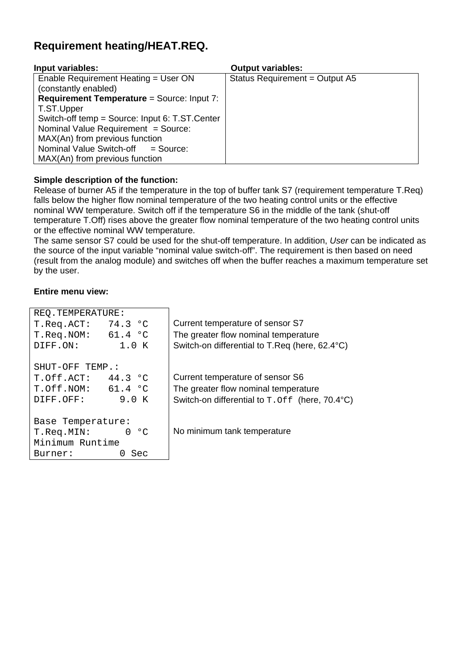### **Requirement heating/HEAT.REQ.**

| Input variables:                                  | <b>Output variables:</b>       |
|---------------------------------------------------|--------------------------------|
| Enable Requirement Heating = User ON              | Status Requirement = Output A5 |
| (constantly enabled)                              |                                |
| <b>Requirement Temperature = Source: Input 7:</b> |                                |
| T.ST.Upper                                        |                                |
| Switch-off temp = Source: Input 6: T.ST.Center    |                                |
| Nominal Value Requirement = Source:               |                                |
| MAX(An) from previous function                    |                                |
| Nominal Value Switch-off = Source:                |                                |
| MAX(An) from previous function                    |                                |

#### **Simple description of the function:**

Release of burner A5 if the temperature in the top of buffer tank S7 (requirement temperature T.Req) falls below the higher flow nominal temperature of the two heating control units or the effective nominal WW temperature. Switch off if the temperature S6 in the middle of the tank (shut-off temperature T.Off) rises above the greater flow nominal temperature of the two heating control units or the effective nominal WW temperature.

The same sensor S7 could be used for the shut-off temperature. In addition, *User* can be indicated as the source of the input variable "nominal value switch-off". The requirement is then based on need (result from the analog module) and switches off when the buffer reaches a maximum temperature set by the user.

| REO.TEMPERATURE:             |                                                       |
|------------------------------|-------------------------------------------------------|
| 74.3 °C<br>T.Req.RCT:        | Current temperature of sensor S7                      |
| 61.4 °C<br>T.Req.NOM:        | The greater flow nominal temperature                  |
| 1.0 K<br>DIFF.ON:            | Switch-on differential to T.Req (here, 62.4°C)        |
|                              |                                                       |
| SHUT-OFF TEMP.:              |                                                       |
| T.Off.ACT: 44.3 °C           | Current temperature of sensor S6                      |
| 61.4 °C<br>T.Off.NOM:        | The greater flow nominal temperature                  |
| 9.0 K<br>DIFF.OFF:           | Switch-on differential to $T.$ Of f (here, $70.4$ °C) |
|                              |                                                       |
| Base Temperature:            |                                                       |
| ംപ<br>T.Req.MIN:<br>$\Omega$ | No minimum tank temperature                           |
| Minimum Runtime              |                                                       |
| Sec<br>Burner:<br>$\cup$     |                                                       |
|                              |                                                       |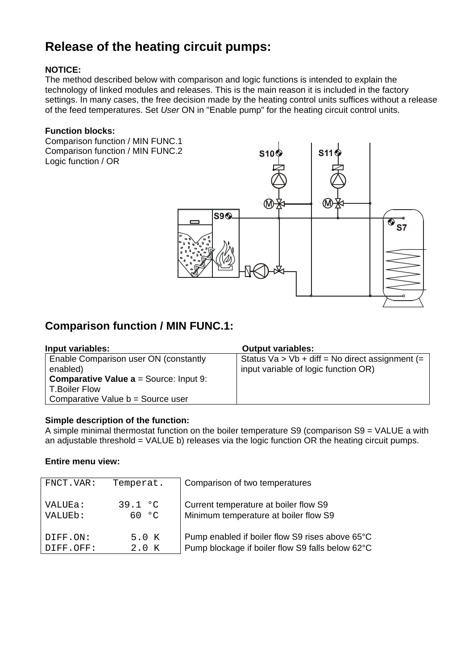# **Release of the heating circuit pumps:**

#### **NOTICE:**

The method described below with comparison and logic functions is intended to explain the technology of linked modules and releases. This is the main reason it is included in the factory settings. In many cases, the free decision made by the heating control units suffices without a release of the feed temperatures. Set *User* ON in "Enable pump" for the heating circuit control units.

#### **Function blocks:**

Comparison function / MIN FUNC.1 Comparison function / MIN FUNC.2 Logic function / OR



### **Comparison function / MIN FUNC.1:**

| Input variables:                                           | <b>Output variables:</b>                          |
|------------------------------------------------------------|---------------------------------------------------|
| Enable Comparison user ON (constantly                      | Status $Va > Vb + diff = No$ direct assignment (= |
| enabled)                                                   | input variable of logic function OR)              |
| <b>Comparative Value <math>a = Source</math>:</b> Input 9: |                                                   |
| <b>T.Boiler Flow</b>                                       |                                                   |
| Comparative Value b = Source user                          |                                                   |

#### **Simple description of the function:**

A simple minimal thermostat function on the boiler temperature S9 (comparison S9 = VALUE a with an adjustable threshold = VALUE b) releases via the logic function OR the heating circuit pumps.

| FNCT.VAR: | Temperat. | Comparison of two temperatures                   |
|-----------|-----------|--------------------------------------------------|
| VALUEa:   | 39.1 °C   | Current temperature at boiler flow S9            |
| VALUEb:   | 60 °C.    | Minimum temperature at boiler flow S9            |
| DIFF.ON:  | 5.0 K     | Pump enabled if boiler flow S9 rises above 65°C  |
| DIFF.OFF: | 2.0 K     | Pump blockage if boiler flow S9 falls below 62°C |